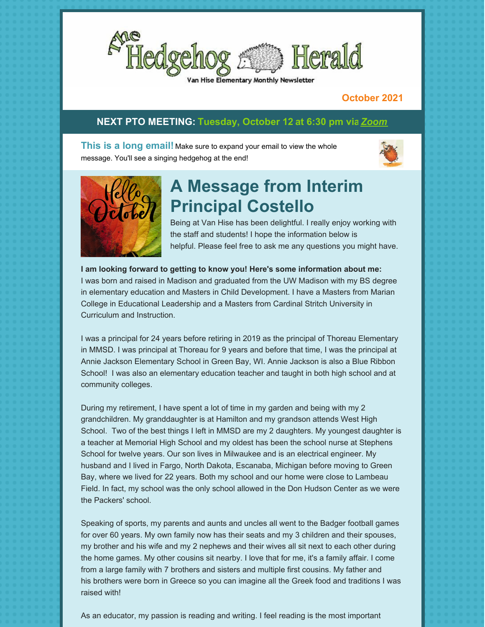

'an Hise Elementary Monthly Newsletter

#### **October 2021**

### **NEXT PTO MEETING: Tuesday, October 12 at 6:30 pm vi[a](https://us02web.zoom.us/j/89179812285?pwd=U3RSR1ZIeUdhSWZRaGtRLzVsMVUrQT09)***[Zoom](https://us02web.zoom.us/j/89179812285?pwd=U3RSR1ZIeUdhSWZRaGtRLzVsMVUrQT09#success)*

**This is a long email!** Make sure to expand your email to view the whole message. You'll see a singing hedgehog at the end!





# **A Message from Interim Principal Costello**

Being at Van Hise has been delightful. I really enjoy working with the staff and students! I hope the information below is helpful. Please feel free to ask me any questions you might have.

**I am looking forward to getting to know you! Here's some information about me:** I was born and raised in Madison and graduated from the UW Madison with my BS degree in elementary education and Masters in Child Development. I have a Masters from Marian College in Educational Leadership and a Masters from Cardinal Stritch University in Curriculum and Instruction.

I was a principal for 24 years before retiring in 2019 as the principal of Thoreau Elementary in MMSD. I was principal at Thoreau for 9 years and before that time, I was the principal at Annie Jackson Elementary School in Green Bay, WI. Annie Jackson is also a Blue Ribbon School! I was also an elementary education teacher and taught in both high school and at community colleges.

During my retirement, I have spent a lot of time in my garden and being with my 2 grandchildren. My granddaughter is at Hamilton and my grandson attends West High School. Two of the best things I left in MMSD are my 2 daughters. My youngest daughter is a teacher at Memorial High School and my oldest has been the school nurse at Stephens School for twelve years. Our son lives in Milwaukee and is an electrical engineer. My husband and I lived in Fargo, North Dakota, Escanaba, Michigan before moving to Green Bay, where we lived for 22 years. Both my school and our home were close to Lambeau Field. In fact, my school was the only school allowed in the Don Hudson Center as we were the Packers' school.

Speaking of sports, my parents and aunts and uncles all went to the Badger football games for over 60 years. My own family now has their seats and my 3 children and their spouses, my brother and his wife and my 2 nephews and their wives all sit next to each other during the home games. My other cousins sit nearby. I love that for me, it's a family affair. I come from a large family with 7 brothers and sisters and multiple first cousins. My father and his brothers were born in Greece so you can imagine all the Greek food and traditions I was raised with!

As an educator, my passion is reading and writing. I feel reading is the most important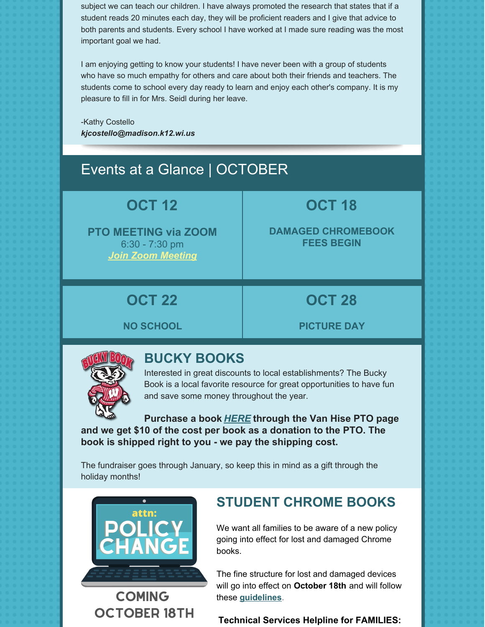subject we can teach our children. I have always promoted the research that states that if a student reads 20 minutes each day, they will be proficient readers and I give that advice to both parents and students. Every school I have worked at I made sure reading was the most important goal we had.

I am enjoying getting to know your students! I have never been with a group of students who have so much empathy for others and care about both their friends and teachers. The students come to school every day ready to learn and enjoy each other's company. It is my pleasure to fill in for Mrs. Seidl during her leave.

-Kathy Costello *[kjcostello@madison.k12.wi.us](mailto:kjcostello@madison.k12.wi.us)*

## Events at a Glance | OCTOBER

## **OCT 12**

**PTO MEETING via ZOOM** 6:30 - 7:30 pm *Join Zoom [Meeting](https://us02web.zoom.us/j/89179812285?pwd=U3RSR1ZIeUdhSWZRaGtRLzVsMVUrQT09#success)*

# **OCT 18**

**DAMAGED CHROMEBOOK FEES BEGIN**

## **OCT 22**

## **OCT 28**

**NO SCHOOL**

**PICTURE DAY**



### **BUCKY BOOKS**

Interested in great discounts to local establishments? The Bucky Book is a local favorite resource for great opportunities to have fun and save some money throughout the year.

**Purchase a book** *[HERE](https://www.buckybook.com/van-hise-pto)* **through the Van Hise PTO page and we get \$10 of the cost per book as a donation to the PTO. The book is shipped right to you - we pay the shipping cost.**

The fundraiser goes through January, so keep this in mind as a gift through the holiday months!



**COMING OCTOBER 18TH** 

### **STUDENT CHROME BOOKS**

We want all families to be aware of a new policy going into effect for lost and damaged Chrome books.

The fine structure for lost and damaged devices will go into effect on **October 18th** and will follow these **[guidelines](https://files.constantcontact.com/a35ed802501/16356cb9-685f-48c3-be34-0e27daac9d88.pdf)**.

**Technical Services Helpline for FAMILIES:**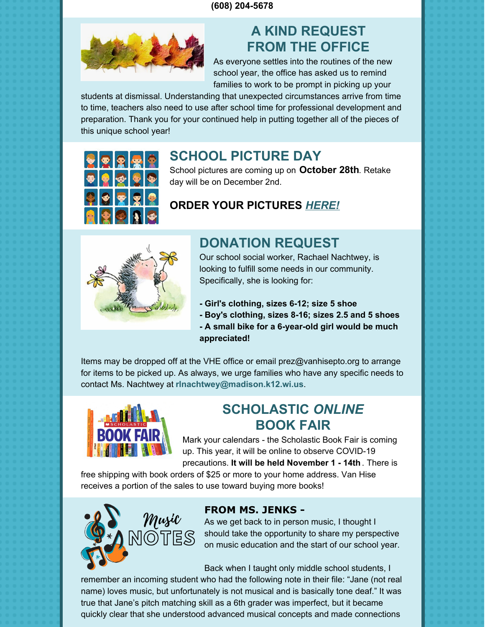#### **(608) 204-5678**



### **A KIND REQUEST FROM THE OFFICE**

As everyone settles into the routines of the new school year, the office has asked us to remind families to work to be prompt in picking up your

students at dismissal. Understanding that unexpected circumstances arrive from time to time, teachers also need to use after school time for professional development and preparation. Thank you for your continued help in putting together all of the pieces of this unique school year!



### **SCHOOL PICTURE DAY**

School pictures are coming up on **October 28th**. Retake day will be on December 2nd.

### **ORDER YOUR PICTURES** *[HERE!](https://lifetouch.com/picture-day/WI/Madison/Van-Hise-Elementary-School-72122)*



### **DONATION REQUEST**

Our school social worker, Rachael Nachtwey, is looking to fulfill some needs in our community. Specifically, she is looking for:

- **- Girl's clothing, sizes 6-12; size 5 shoe**
- **- Boy's clothing, sizes 8-16; sizes 2.5 and 5 shoes - A small bike for a 6-year-old girl would be much appreciated!**

Items may be dropped off at the VHE office or email prez@vanhisepto.org to arrange for items to be picked up. As always, we urge families who have any specific needs to contact Ms. Nachtwey at **rlnachtwey@madison.k12.wi.us**.



### **SCHOLASTIC** *ONLINE* **BOOK FAIR**

Mark your calendars - the Scholastic Book Fair is coming up. This year, it will be online to observe COVID-19

precautions. **It will be held November 1 - 14th** . There is free shipping with book orders of \$25 or more to your home address. Van Hise receives a portion of the sales to use toward buying more books!



### **FROM MS. JENKS -**

As we get back to in person music, I thought I should take the opportunity to share my perspective on music education and the start of our school year.

Back when I taught only middle school students, I

remember an incoming student who had the following note in their file: "Jane (not real name) loves music, but unfortunately is not musical and is basically tone deaf." It was true that Jane's pitch matching skill as a 6th grader was imperfect, but it became quickly clear that she understood advanced musical concepts and made connections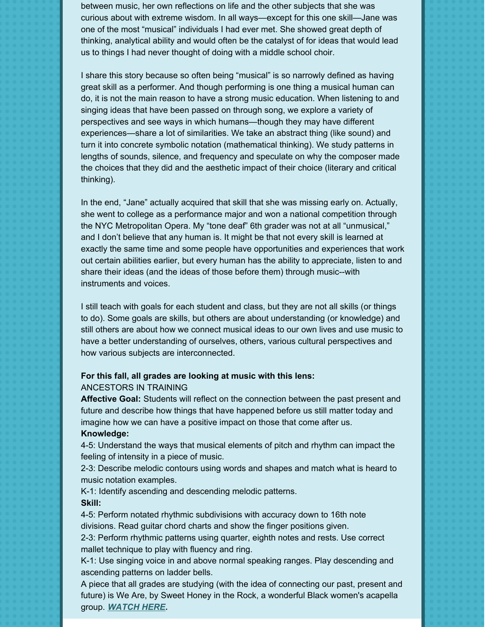between music, her own reflections on life and the other subjects that she was curious about with extreme wisdom. In all ways—except for this one skill—Jane was one of the most "musical" individuals I had ever met. She showed great depth of thinking, analytical ability and would often be the catalyst of for ideas that would lead us to things I had never thought of doing with a middle school choir.

I share this story because so often being "musical" is so narrowly defined as having great skill as a performer. And though performing is one thing a musical human can do, it is not the main reason to have a strong music education. When listening to and singing ideas that have been passed on through song, we explore a variety of perspectives and see ways in which humans—though they may have different experiences—share a lot of similarities. We take an abstract thing (like sound) and turn it into concrete symbolic notation (mathematical thinking). We study patterns in lengths of sounds, silence, and frequency and speculate on why the composer made the choices that they did and the aesthetic impact of their choice (literary and critical thinking).

In the end, "Jane" actually acquired that skill that she was missing early on. Actually, she went to college as a performance major and won a national competition through the NYC Metropolitan Opera. My "tone deaf" 6th grader was not at all "unmusical," and I don't believe that any human is. It might be that not every skill is learned at exactly the same time and some people have opportunities and experiences that work out certain abilities earlier, but every human has the ability to appreciate, listen to and share their ideas (and the ideas of those before them) through music--with instruments and voices.

I still teach with goals for each student and class, but they are not all skills (or things to do). Some goals are skills, but others are about understanding (or knowledge) and still others are about how we connect musical ideas to our own lives and use music to have a better understanding of ourselves, others, various cultural perspectives and how various subjects are interconnected.

#### **For this fall, all grades are looking at music with this lens:**

#### ANCESTORS IN TRAINING

**Affective Goal:** Students will reflect on the connection between the past present and future and describe how things that have happened before us still matter today and imagine how we can have a positive impact on those that come after us. **Knowledge:**

4-5: Understand the ways that musical elements of pitch and rhythm can impact the feeling of intensity in a piece of music.

2-3: Describe melodic contours using words and shapes and match what is heard to music notation examples.

K-1: Identify ascending and descending melodic patterns. **Skill:**

4-5: Perform notated rhythmic subdivisions with accuracy down to 16th note divisions. Read guitar chord charts and show the finger positions given.

2-3: Perform rhythmic patterns using quarter, eighth notes and rests. Use correct mallet technique to play with fluency and ring.

K-1: Use singing voice in and above normal speaking ranges. Play descending and ascending patterns on ladder bells.

A piece that all grades are studying (with the idea of connecting our past, present and future) is We Are, by Sweet Honey in the Rock, a wonderful Black women's acapella group. *[WATCH](https://www.youtube.com/watch?v=hWaw-tQ4W7w) HER[E.](https://www.youtube.com/watch?v=hWaw-tQ4W7w)*